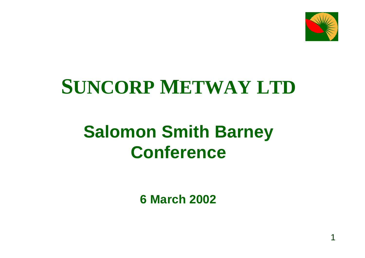

# **SUNCORP METWAY LTD**

### **Salomon Smith Barney Conference**

**6 March 2002**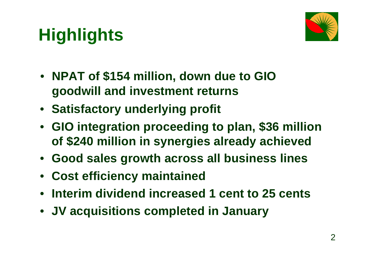# **Highlights**



- **NPAT of \$154 million, down due to GIO goodwill and investment returns**
- **Satisfactory underlying profit**
- **GIO integration proceeding to plan, \$36 million of \$240 million in synergies already achieved**
- **Good sales growth across all business lines**
- **Cost efficiency maintained**
- **Interim dividend increased 1 cent to 25 cents**
- **JV acquisitions completed in January**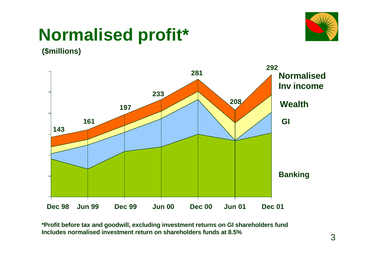### **Normalised profit\***



**(\$millions)**



**\*Profit before tax and goodwill, excluding investment returns on GI shareholders fund Includes normalised investment return on shareholders funds at 8.5%**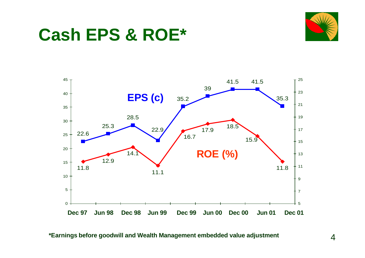





**\*Earnings before goodwill and Wealth Management embedded value adjustment**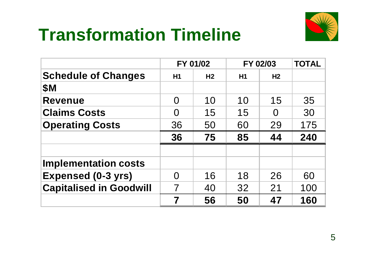

### **Transformation Timeline**

|                                | FY 01/02 |                | FY 02/03 |                | <b>TOTAL</b> |
|--------------------------------|----------|----------------|----------|----------------|--------------|
| <b>Schedule of Changes</b>     | H1       | H <sub>2</sub> | H1       | H <sub>2</sub> |              |
| <b>\$M</b>                     |          |                |          |                |              |
| <b>Revenue</b>                 | $\Omega$ | 10             | 10       | 15             | 35           |
| <b>Claims Costs</b>            | N        | 15             | 15       | O              | 30           |
| <b>Operating Costs</b>         | 36       | 50             | 60       | 29             | 175          |
|                                | 36       | 75             | 85       | 44             | 240          |
|                                |          |                |          |                |              |
| <b>Implementation costs</b>    |          |                |          |                |              |
| <b>Expensed (0-3 yrs)</b>      | $\Omega$ | 16             | 18       | 26             | 60           |
| <b>Capitalised in Goodwill</b> | 7        | 40             | 32       | 21             | 100          |
|                                | 7        | 56             | 50       | 47             | 160          |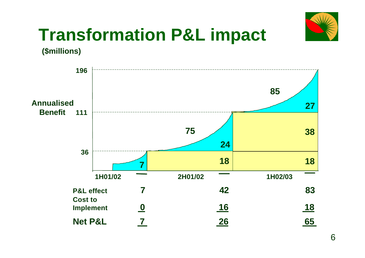

### **Transformation P&L impact**

**(\$millions)**

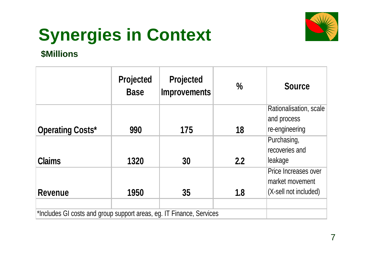# **Synergies in Context**



#### **\$Millions**

|                                                                      | <b>Projected</b><br><b>Base</b> | <b>Projected</b><br><b>Improvements</b> | $\frac{0}{0}$ | <b>Source</b>                                                    |
|----------------------------------------------------------------------|---------------------------------|-----------------------------------------|---------------|------------------------------------------------------------------|
| <b>Operating Costs*</b>                                              | 990                             | 175                                     | 18            | Rationalisation, scale<br>and process<br>re-engineering          |
| <b>Claims</b>                                                        | 1320                            | 30                                      | 2.2           | Purchasing,<br>recoveries and<br>leakage                         |
| <b>Revenue</b>                                                       | 1950                            | 35                                      | 1.8           | Price Increases over<br>market movement<br>(X-sell not included) |
| *Includes GI costs and group support areas, eg. IT Finance, Services |                                 |                                         |               |                                                                  |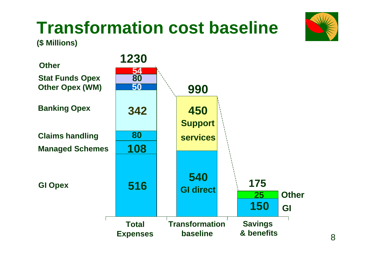# **Transformation cost baseline**





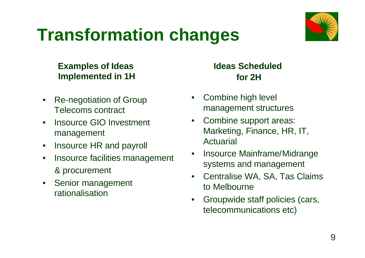### **Transformation changes**



### **Examples of Ideas Implemented in 1H**

- Re-negotiation of Group Telecoms contract
- Insource GIO Investment management
- Insource HR and payroll
- Insource facilities management & procurement
- Senior management rationalisation

### **Ideas Scheduled for 2H**

- Combine high level management structures
- Combine support areas: Marketing, Finance, HR, IT, Actuarial
- Insource Mainframe/Midrange systems and management
- Centralise WA, SA, Tas Claims to Melbourne
- Groupwide staff policies (cars, telecommunications etc)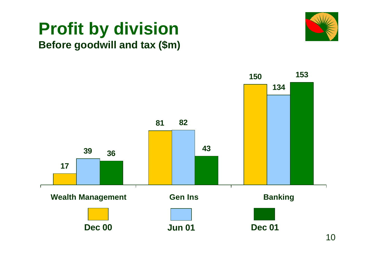### **Profit by division Before goodwill and tax (\$m)**



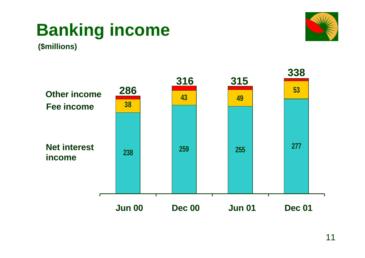# **Banking income**



**(\$millions)**

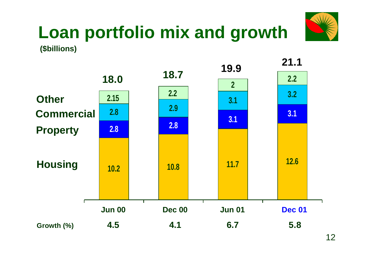

### **Loan portfolio mix and growth (\$billions)**

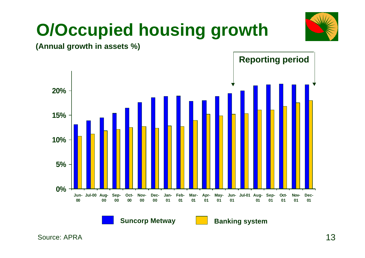### **O/Occupied housing growth**



**(Annual growth in assets %)**

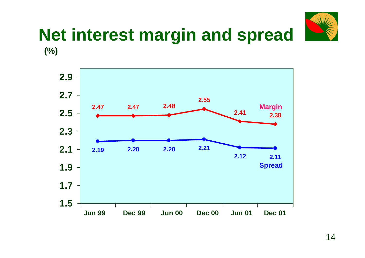

### **Net interest margin and spread (%)**

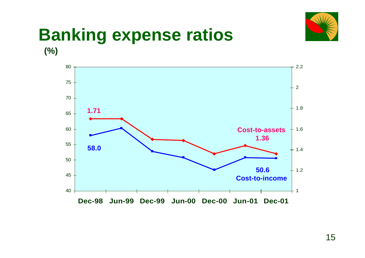

### **Banking expense ratios**

**(%)**

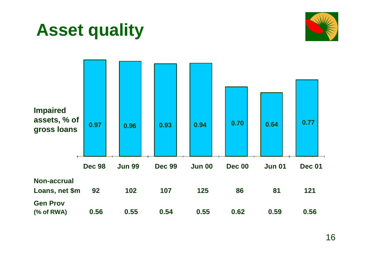



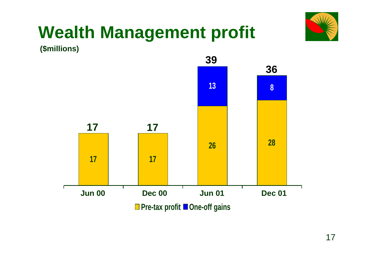# **Wealth Management profit**



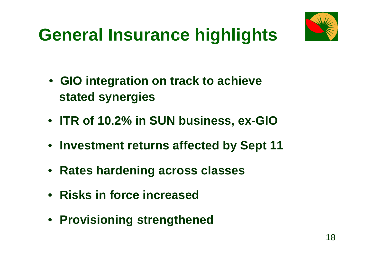

### **General Insurance highlights**

- **GIO integration on track to achieve stated synergies**
- **ITR of 10.2% in SUN business, ex-GIO**
- **Investment returns affected by Sept 11**
- **Rates hardening across classes**
- **Risks in force increased**
- **Provisioning strengthened**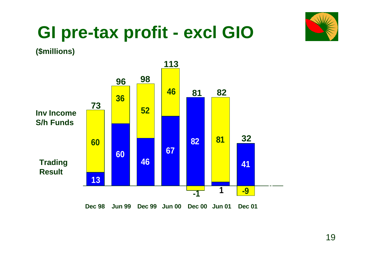

### **GI pre-tax profit - excl GIO**

**(\$millions)**

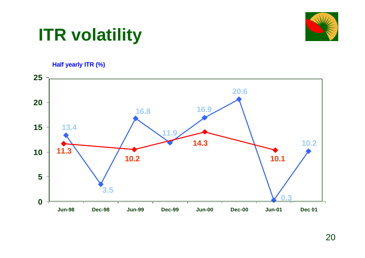

### **ITR volatility**

#### **Half yearly ITR (%)**

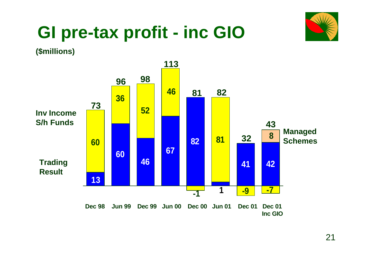

### **GI pre-tax profit - inc GIO**

**(\$millions)**

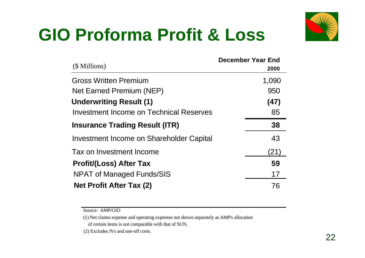

# **GIO Proforma Profit & Loss**

| (\$ Millions)                            | <b>December Year End</b><br>2000 |
|------------------------------------------|----------------------------------|
| <b>Gross Written Premium</b>             | 1,090                            |
| Net Earned Premium (NEP)                 | 950                              |
| <b>Underwriting Result (1)</b>           | (47)                             |
| Investment Income on Technical Reserves  | 85                               |
| <b>Insurance Trading Result (ITR)</b>    | 38                               |
| Investment Income on Shareholder Capital | 43                               |
| Tax on Investment Income                 | (21)                             |
| <b>Profit/(Loss) After Tax</b>           | 59                               |
| <b>NPAT of Managed Funds/SIS</b>         | 17                               |
| Net Profit After Tax (2)                 | 76                               |

Source: AMP/GIO

(1) Net claims expense and operating expenses not shown separately as AMP's allocation of certain items is not comparable with that of SUN.

(2) Excludes JVs and one-off costs.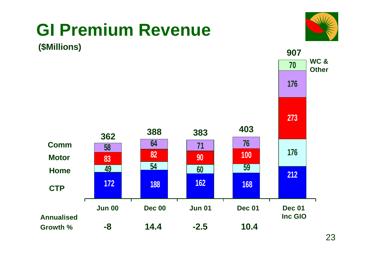#### **GI Premium Revenue <sup>907</sup> (\$Millions) WC & 70 Other 176 273 <sup>362</sup> <sup>388</sup> <sup>383</sup> <sup>403</sup> Comm <sup>76</sup> <sup>71</sup> <sup>64</sup> <sup>58</sup> 176 100 <sup>83</sup> <sup>90</sup> <sup>82</sup> Motor <sup>60</sup> <sup>54</sup> <sup>49</sup> <sup>59</sup> Home 212 172 188 162 168 CTP** т  **Jun 00 Dec 00 Jun 01 Dec 01 Dec 01 Inc GIO Annualised Growth % -8 14.4 -2.5 10.4**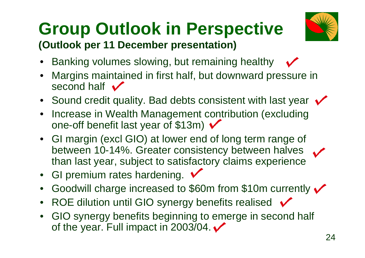### **Group Outlook in Perspective (Outlook per 11 December presentation)**



- Banking volumes slowing, but remaining healthy
- Margins maintained in first half, but downward pressure in second half  $\sqrt{}$
- Sound credit quality. Bad debts consistent with last year  $\checkmark$
- Increase in Wealth Management contribution (excluding one-off benefit last year of \$13m)  $\checkmark$
- GI margin (excl GIO) at lower end of long term range of between 10-14%. Greater consistency between halves than last year, subject to satisfactory claims experience
- GI premium rates hardening.  $\checkmark$
- Goodwill charge increased to \$60m from \$10m currently v
- ROE dilution until GIO synergy benefits realised  $\checkmark$
- GIO synergy benefits beginning to emerge in second half of the year. Full impact in 2003/04. $\checkmark$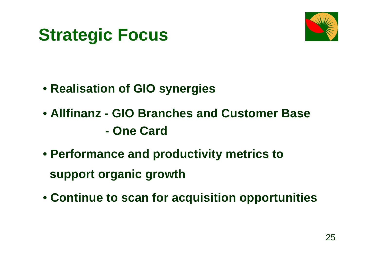### **Strategic Focus**



- • **Realisation of GIO synergies**
- • **Allfinanz GIO Branches and Customer Base - One Card**
- • **Performance and productivity metrics to support organic growth**
- • **Continue to scan for acquisition opportunities**